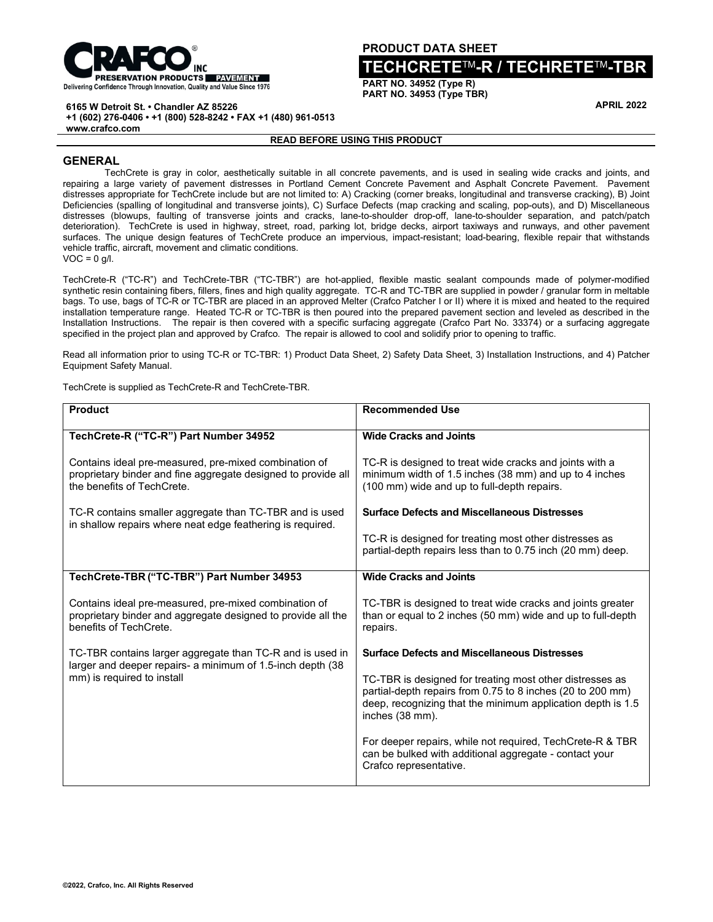

**PRODUCT DATA SHEET**

# **TECHCRETE**TM**-R / TECHRETE**TM**-TBR**

**PART NO. 34952 (Type R) PART NO. 34953 (Type TBR)**

**APRIL 2022**

**6165 W Detroit St. • Chandler AZ 85226**

**+1 (602) 276-0406 • +1 (800) 528-8242 • FAX +1 (480) 961-0513**

**www.crafco.com**

#### **READ BEFORE USING THIS PRODUCT**

## **GENERAL**

TechCrete is gray in color, aesthetically suitable in all concrete pavements, and is used in sealing wide cracks and joints, and repairing a large variety of pavement distresses in Portland Cement Concrete Pavement and Asphalt Concrete Pavement. Pavement distresses appropriate for TechCrete include but are not limited to: A) Cracking (corner breaks, longitudinal and transverse cracking), B) Joint Deficiencies (spalling of longitudinal and transverse joints), C) Surface Defects (map cracking and scaling, pop-outs), and D) Miscellaneous distresses (blowups, faulting of transverse joints and cracks, lane-to-shoulder drop-off, lane-to-shoulder separation, and patch/patch deterioration). TechCrete is used in highway, street, road, parking lot, bridge decks, airport taxiways and runways, and other pavement surfaces. The unique design features of TechCrete produce an impervious, impact-resistant; load-bearing, flexible repair that withstands vehicle traffic, aircraft, movement and climatic conditions.  $VOC = 0$  a/l.

TechCrete-R ("TC-R") and TechCrete-TBR ("TC-TBR") are hot-applied, flexible mastic sealant compounds made of polymer-modified synthetic resin containing fibers, fillers, fines and high quality aggregate. TC-R and TC-TBR are supplied in powder / granular form in meltable bags. To use, bags of TC-R or TC-TBR are placed in an approved Melter (Crafco Patcher I or II) where it is mixed and heated to the required installation temperature range. Heated TC-R or TC-TBR is then poured into the prepared pavement section and leveled as described in the Installation Instructions. The repair is then covered with a specific surfacing aggregate (Crafco Part No. 33374) or a surfacing aggregate specified in the project plan and approved by Crafco. The repair is allowed to cool and solidify prior to opening to traffic.

Read all information prior to using TC-R or TC-TBR: 1) Product Data Sheet, 2) Safety Data Sheet, 3) Installation Instructions, and 4) Patcher Equipment Safety Manual.

TechCrete is supplied as TechCrete-R and TechCrete-TBR.

| <b>Product</b>                                                                                                                                        | <b>Recommended Use</b>                                                                                                                                                                                   |  |
|-------------------------------------------------------------------------------------------------------------------------------------------------------|----------------------------------------------------------------------------------------------------------------------------------------------------------------------------------------------------------|--|
| TechCrete-R ("TC-R") Part Number 34952                                                                                                                | <b>Wide Cracks and Joints</b>                                                                                                                                                                            |  |
| Contains ideal pre-measured, pre-mixed combination of<br>proprietary binder and fine aggregate designed to provide all<br>the benefits of TechCrete.  | TC-R is designed to treat wide cracks and joints with a<br>minimum width of 1.5 inches (38 mm) and up to 4 inches<br>(100 mm) wide and up to full-depth repairs.                                         |  |
| TC-R contains smaller aggregate than TC-TBR and is used<br>in shallow repairs where neat edge feathering is required.                                 | <b>Surface Defects and Miscellaneous Distresses</b>                                                                                                                                                      |  |
|                                                                                                                                                       | TC-R is designed for treating most other distresses as<br>partial-depth repairs less than to 0.75 inch (20 mm) deep.                                                                                     |  |
| TechCrete-TBR ("TC-TBR") Part Number 34953                                                                                                            | <b>Wide Cracks and Joints</b>                                                                                                                                                                            |  |
| Contains ideal pre-measured, pre-mixed combination of<br>proprietary binder and aggregate designed to provide all the<br>benefits of TechCrete.       | TC-TBR is designed to treat wide cracks and joints greater<br>than or equal to 2 inches (50 mm) wide and up to full-depth<br>repairs.                                                                    |  |
| TC-TBR contains larger aggregate than TC-R and is used in<br>larger and deeper repairs- a minimum of 1.5-inch depth (38<br>mm) is required to install | <b>Surface Defects and Miscellaneous Distresses</b>                                                                                                                                                      |  |
|                                                                                                                                                       | TC-TBR is designed for treating most other distresses as<br>partial-depth repairs from 0.75 to 8 inches (20 to 200 mm)<br>deep, recognizing that the minimum application depth is 1.5<br>inches (38 mm). |  |
|                                                                                                                                                       | For deeper repairs, while not required, TechCrete-R & TBR<br>can be bulked with additional aggregate - contact your<br>Crafco representative.                                                            |  |